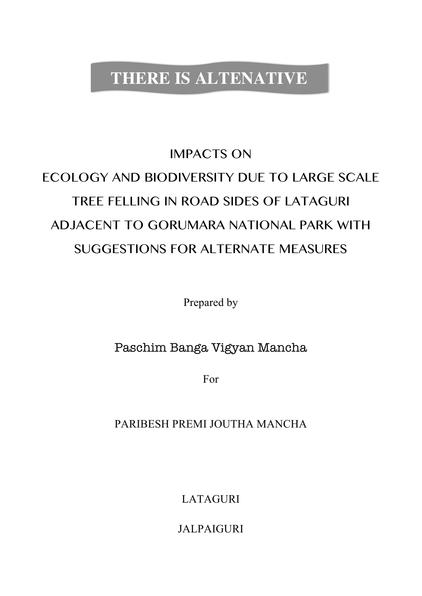# **THERE IS ALTENATIVE**

# IMPACTS ON ECOLOGY AND BIODIVERSITY DUE TO LARGE SCALE TREE FELLING IN ROAD SIDES OF LATAGURI ADJACENT TO GORUMARA NATIONAL PARK WITH SUGGESTIONS FOR ALTERNATE MEASURES

Prepared by

# Paschim Banga Vigyan Mancha

For

PARIBESH PREMI JOUTHA MANCHA

LATAGURI

JALPAIGURI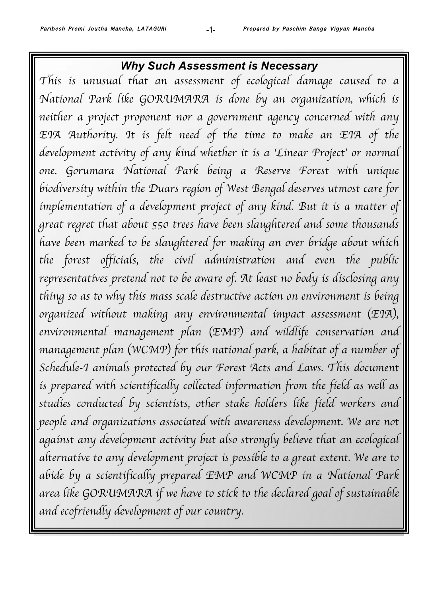# *Why Such Assessment is Necessary*

*This is unusual that an assessment of ecological damage caused to a National Park like GORUMARA is done by an organization, which is neither a project proponent nor a government agency concerned with any*  EIA Authority. It is felt need of the time to make an EIA of the *development activity of any kind whether it is a* '*Linear Project*' *or normal one. Gorumara National Park being a Reserve Forest with unique biodiversity within the Duars region of West Bengal deserves utmost care for*  implementation of a development project of any kind. But it is a matter of *great regret that about 550 trees have been slaughtered and some thousands have been marked to be slaughtered for making an over bridge about which the forest officials, the civil administration and even the public representatives pretend not to be aware of. At least no body is disclosing any thing so as to why this mass scale destructive action on environment is being organized without making any environmental impact assessment* (*EIA*)*, environmental management plan* (*EMP*) *and wildlife conservation and management plan* (*WCMP*) *for this national park, a habitat of a number of Schedule-I animals protected by our Forest Acts and Laws. This document*  is prepared with scientifically collected information from the field as well as *studies conducted by scientists, other stake holders like field workers and* people and organizations associated with awareness development. We are not *against any development activity but also strongly believe that an ecological alternative to any development project is possible to a great extent. We are to abide by a scientifically prepared EMP and WCMP in a National Park area like GORUMARA if we have to stick to the declared goal of sustainable and ecofriendly development of our country.*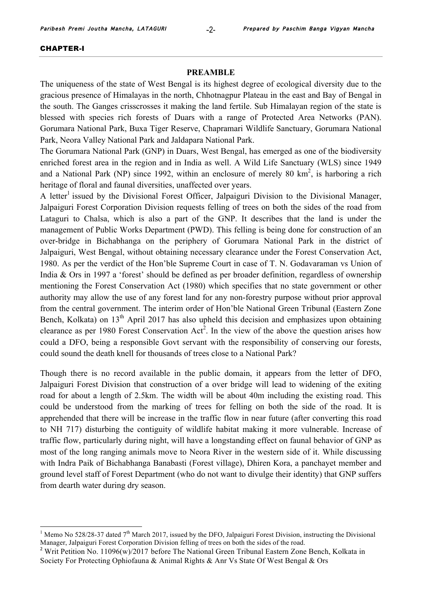#### CHAPTER-I

#### **PREAMBLE**

The uniqueness of the state of West Bengal is its highest degree of ecological diversity due to the gracious presence of Himalayas in the north, Chhotnagpur Plateau in the east and Bay of Bengal in the south. The Ganges crisscrosses it making the land fertile. Sub Himalayan region of the state is blessed with species rich forests of Duars with a range of Protected Area Networks (PAN). Gorumara National Park, Buxa Tiger Reserve, Chapramari Wildlife Sanctuary, Gorumara National Park, Neora Valley National Park and Jaldapara National Park.

The Gorumara National Park (GNP) in Duars, West Bengal, has emerged as one of the biodiversity enriched forest area in the region and in India as well. A Wild Life Sanctuary (WLS) since 1949 and a National Park (NP) since 1992, within an enclosure of merely 80  $km^2$ , is harboring a rich heritage of floral and faunal diversities, unaffected over years.

A letter<sup>1</sup> issued by the Divisional Forest Officer, Jalpaiguri Division to the Divisional Manager, Jalpaiguri Forest Corporation Division requests felling of trees on both the sides of the road from Lataguri to Chalsa, which is also a part of the GNP. It describes that the land is under the management of Public Works Department (PWD). This felling is being done for construction of an over-bridge in Bichabhanga on the periphery of Gorumara National Park in the district of Jalpaiguri, West Bengal, without obtaining necessary clearance under the Forest Conservation Act, 1980. As per the verdict of the Hon'ble Supreme Court in case of T. N. Godavaraman vs Union of India & Ors in 1997 a 'forest' should be defined as per broader definition, regardless of ownership mentioning the Forest Conservation Act (1980) which specifies that no state government or other authority may allow the use of any forest land for any non-forestry purpose without prior approval from the central government. The interim order of Hon'ble National Green Tribunal (Eastern Zone Bench, Kolkata) on  $13<sup>th</sup>$  April 2017 has also upheld this decision and emphasizes upon obtaining clearance as per 1980 Forest Conservation  $Act^2$ . In the view of the above the question arises how could a DFO, being a responsible Govt servant with the responsibility of conserving our forests, could sound the death knell for thousands of trees close to a National Park?

Though there is no record available in the public domain, it appears from the letter of DFO, Jalpaiguri Forest Division that construction of a over bridge will lead to widening of the exiting road for about a length of 2.5km. The width will be about 40m including the existing road. This could be understood from the marking of trees for felling on both the side of the road. It is apprehended that there will be increase in the traffic flow in near future (after converting this road to NH 717) disturbing the contiguity of wildlife habitat making it more vulnerable. Increase of traffic flow, particularly during night, will have a longstanding effect on faunal behavior of GNP as most of the long ranging animals move to Neora River in the western side of it. While discussing with Indra Paik of Bichabhanga Banabasti (Forest village), Dhiren Kora, a panchayet member and ground level staff of Forest Department (who do not want to divulge their identity) that GNP suffers from dearth water during dry season.

<sup>&</sup>lt;sup>1</sup> Memo No 528/28-37 dated  $7<sup>th</sup>$  March 2017, issued by the DFO, Jalpaiguri Forest Division, instructing the Divisional Manager, Jalpaiguri Forest Corporation Division felling of trees on both the sides of the road.

<sup>&</sup>lt;sup>2</sup> Writ Petition No. 11096(w)/2017 before The National Green Tribunal Eastern Zone Bench, Kolkata in Society For Protecting Ophiofauna & Animal Rights & Anr Vs State Of West Bengal & Ors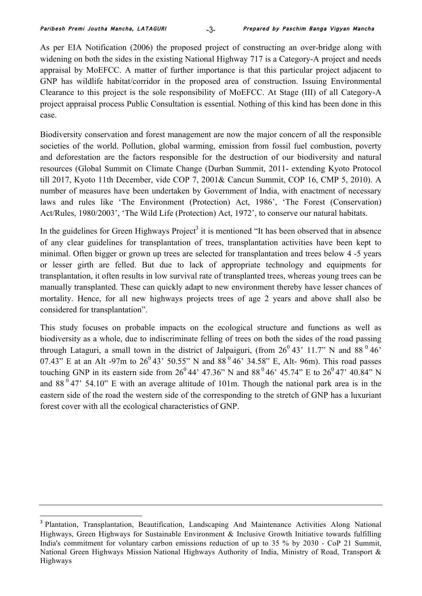1

As per EIA Notification (2006) the proposed project of constructing an over-bridge along with widening on both the sides in the existing National Highway 717 is a Category-A project and needs appraisal by MoEFCC. A matter of further importance is that this particular project adjacent to GNP has wildlife habitat/corridor in the proposed area of construction. Issuing Environmental Clearance to this project is the sole responsibility of MoEFCC. At Stage (III) of all Category-A project appraisal process Public Consultation is essential. Nothing of this kind has been done in this case.

Biodiversity conservation and forest management are now the major concern of all the responsible societies of the world. Pollution, global warming, emission from fossil fuel combustion, poverty and deforestation are the factors responsible for the destruction of our biodiversity and natural resources (Global Summit on Climate Change (Durban Summit, 2011- extending Kyoto Protocol till 2017, Kyoto 11th December, vide COP 7, 2001& Cancun Summit, COP 16, CMP 5, 2010). A number of measures have been undertaken by Government of India, with enactment of necessary laws and rules like 'The Environment (Protection) Act, 1986', 'The Forest (Conservation) Act/Rules, 1980/2003', 'The Wild Life (Protection) Act, 1972', to conserve our natural habitats.

In the guidelines for Green Highways  $Project<sup>3</sup>$  it is mentioned "It has been observed that in absence of any clear guidelines for transplantation of trees, transplantation activities have been kept to minimal. Often bigger or grown up trees are selected for transplantation and trees below 4 -5 years or lesser girth are felled. But due to lack of appropriate technology and equipments for transplantation, it often results in low survival rate of transplanted trees, whereas young trees can be manually transplanted. These can quickly adapt to new environment thereby have lesser chances of mortality. Hence, for all new highways projects trees of age 2 years and above shall also be considered for transplantation".

This study focuses on probable impacts on the ecological structure and functions as well as biodiversity as a whole, due to indiscriminate felling of trees on both the sides of the road passing through Lataguri, a small town in the district of Jalpaiguri, (from  $26^{\circ}$  43' 11.7" N and 88 $^{\circ}$  46' 07.43" E at an Alt -97m to  $26^{\circ}$  43' 50.55" N and 88 $^{\circ}$  46' 34.58" E, Alt- 96m). This road passes touching GNP in its eastern side from  $26^{\circ}44'$  47.36" N and  $88^{\circ}46'$  45.74" E to  $26^{\circ}47'$  40.84" N and  $88<sup>0</sup>$  47' 54.10" E with an average altitude of 101m. Though the national park area is in the eastern side of the road the western side of the corresponding to the stretch of GNP has a luxuriant forest cover with all the ecological characteristics of GNP.

<sup>&</sup>lt;sup>3</sup> Plantation, Transplantation, Beautification, Landscaping And Maintenance Activities Along National Highways, Green Highways for Sustainable Environment & Inclusive Growth Initiative towards fulfilling India's commitment for voluntary carbon emissions reduction of up to 35 % by 2030 - CoP 21 Summit, National Green Highways Mission National Highways Authority of India, Ministry of Road, Transport & Highways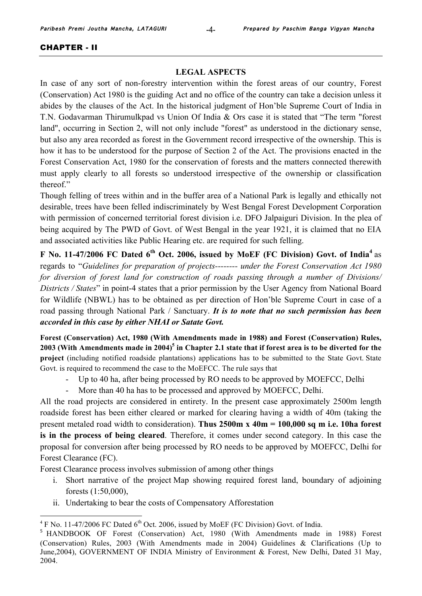#### CHAPTER - II

1

#### **LEGAL ASPECTS**

In case of any sort of non-forestry intervention within the forest areas of our country, Forest (Conservation) Act 1980 is the guiding Act and no office of the country can take a decision unless it abides by the clauses of the Act. In the historical judgment of Hon'ble Supreme Court of India in T.N. Godavarman Thirumulkpad vs Union Of India & Ors case it is stated that "The term "forest land", occurring in Section 2, will not only include "forest" as understood in the dictionary sense, but also any area recorded as forest in the Government record irrespective of the ownership. This is how it has to be understood for the purpose of Section 2 of the Act. The provisions enacted in the Forest Conservation Act, 1980 for the conservation of forests and the matters connected therewith must apply clearly to all forests so understood irrespective of the ownership or classification thereof."

Though felling of trees within and in the buffer area of a National Park is legally and ethically not desirable, trees have been felled indiscriminately by West Bengal Forest Development Corporation with permission of concerned territorial forest division i.e. DFO Jalpaiguri Division. In the plea of being acquired by The PWD of Govt. of West Bengal in the year 1921, it is claimed that no EIA and associated activities like Public Hearing etc. are required for such felling.

**F No. 11-47/2006 FC Dated 6th Oct. 2006, issued by MoEF (FC Division) Govt. of India<sup>4</sup>** as regards to "*Guidelines for preparation of projects-------- under the Forest Conservation Act 1980 for diversion of forest land for construction of roads passing through a number of Divisions/ Districts / States*" in point-4 states that a prior permission by the User Agency from National Board for Wildlife (NBWL) has to be obtained as per direction of Hon'ble Supreme Court in case of a road passing through National Park / Sanctuary. *It is to note that no such permission has been accorded in this case by either NHAI or Satate Govt.*

**Forest (Conservation) Act, 1980 (With Amendments made in 1988) and Forest (Conservation) Rules, 2003 (With Amendments made in 2004)5 in Chapter 2.1 state that if forest area is to be diverted for the project** (including notified roadside plantations) applications has to be submitted to the State Govt. State Govt. is required to recommend the case to the MoEFCC. The rule says that

- Up to 40 ha, after being processed by RO needs to be approved by MOEFCC, Delhi
- More than 40 ha has to be processed and approved by MOEFCC, Delhi.

All the road projects are considered in entirety. In the present case approximately 2500m length roadside forest has been either cleared or marked for clearing having a width of 40m (taking the present metaled road width to consideration). **Thus 2500m x 40m = 100,000 sq m i.e. 10ha forest is in the process of being cleared**. Therefore, it comes under second category. In this case the proposal for conversion after being processed by RO needs to be approved by MOEFCC, Delhi for Forest Clearance (FC).

Forest Clearance process involves submission of among other things

- i. Short narrative of the project Map showing required forest land, boundary of adjoining forests (1:50,000),
- ii. Undertaking to bear the costs of Compensatory Afforestation

 $^{4}$  F No. 11-47/2006 FC Dated 6<sup>th</sup> Oct. 2006, issued by MoEF (FC Division) Govt. of India.

<sup>&</sup>lt;sup>5</sup> HANDBOOK OF Forest (Conservation) Act, 1980 (With Amendments made in 1988) Forest (Conservation) Rules, 2003 (With Amendments made in 2004) Guidelines & Clarifications (Up to June,2004), GOVERNMENT OF INDIA Ministry of Environment & Forest, New Delhi, Dated 31 May, 2004.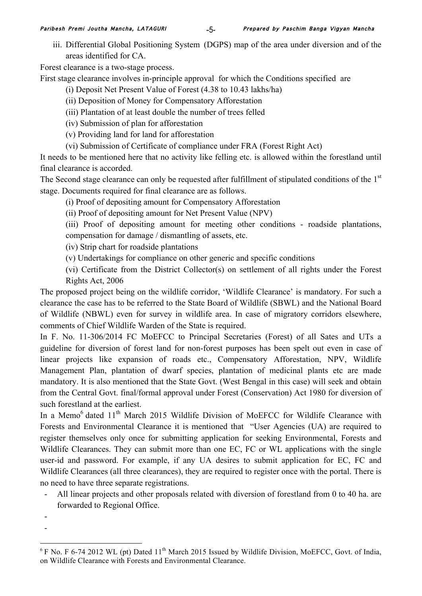iii. Differential Global Positioning System (DGPS) map of the area under diversion and of the areas identified for CA.

Forest clearance is a two-stage process.

First stage clearance involves in-principle approval for which the Conditions specified are

(i) Deposit Net Present Value of Forest (4.38 to 10.43 lakhs/ha)

- (ii) Deposition of Money for Compensatory Afforestation
- (iii) Plantation of at least double the number of trees felled

(iv) Submission of plan for afforestation

- (v) Providing land for land for afforestation
- (vi) Submission of Certificate of compliance under FRA (Forest Right Act)

It needs to be mentioned here that no activity like felling etc. is allowed within the forestland until final clearance is accorded.

The Second stage clearance can only be requested after fulfillment of stipulated conditions of the 1<sup>st</sup> stage. Documents required for final clearance are as follows.

(i) Proof of depositing amount for Compensatory Afforestation

(ii) Proof of depositing amount for Net Present Value (NPV)

(iii) Proof of depositing amount for meeting other conditions - roadside plantations, compensation for damage / dismantling of assets, etc.

(iv) Strip chart for roadside plantations

(v) Undertakings for compliance on other generic and specific conditions

(vi) Certificate from the District Collector(s) on settlement of all rights under the Forest Rights Act, 2006

The proposed project being on the wildlife corridor, 'Wildlife Clearance' is mandatory. For such a clearance the case has to be referred to the State Board of Wildlife (SBWL) and the National Board of Wildlife (NBWL) even for survey in wildlife area. In case of migratory corridors elsewhere, comments of Chief Wildlife Warden of the State is required.

In F. No. 11-306/2014 FC MoEFCC to Principal Secretaries (Forest) of all Sates and UTs a guideline for diversion of forest land for non-forest purposes has been spelt out even in case of linear projects like expansion of roads etc., Compensatory Afforestation, NPV, Wildlife Management Plan, plantation of dwarf species, plantation of medicinal plants etc are made mandatory. It is also mentioned that the State Govt. (West Bengal in this case) will seek and obtain from the Central Govt. final/formal approval under Forest (Conservation) Act 1980 for diversion of such forestland at the earliest.

In a Memo<sup>6</sup> dated 11<sup>th</sup> March 2015 Wildlife Division of MoEFCC for Wildlife Clearance with Forests and Environmental Clearance it is mentioned that "User Agencies (UA) are required to register themselves only once for submitting application for seeking Environmental, Forests and Wildlife Clearances. They can submit more than one EC, FC or WL applications with the single user-id and password. For example, if any UA desires to submit application for EC, FC and Wildlife Clearances (all three clearances), they are required to register once with the portal. There is no need to have three separate registrations.

- All linear projects and other proposals related with diversion of forestland from 0 to 40 ha. are forwarded to Regional Office.
- -

1

 $6$  F No. F 6-74 2012 WL (pt) Dated 11<sup>th</sup> March 2015 Issued by Wildlife Division, MoEFCC, Govt. of India, on Wildlife Clearance with Forests and Environmental Clearance.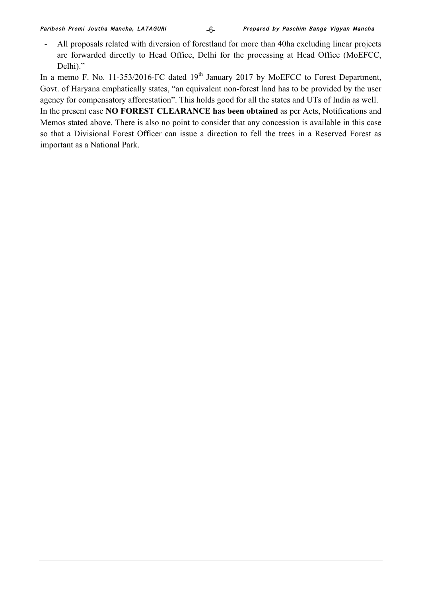- All proposals related with diversion of forestland for more than 40ha excluding linear projects are forwarded directly to Head Office, Delhi for the processing at Head Office (MoEFCC, Delhi)."

In a memo F. No. 11-353/2016-FC dated  $19<sup>th</sup>$  January 2017 by MoEFCC to Forest Department, Govt. of Haryana emphatically states, "an equivalent non-forest land has to be provided by the user agency for compensatory afforestation". This holds good for all the states and UTs of India as well. In the present case **NO FOREST CLEARANCE has been obtained** as per Acts, Notifications and

Memos stated above. There is also no point to consider that any concession is available in this case so that a Divisional Forest Officer can issue a direction to fell the trees in a Reserved Forest as important as a National Park.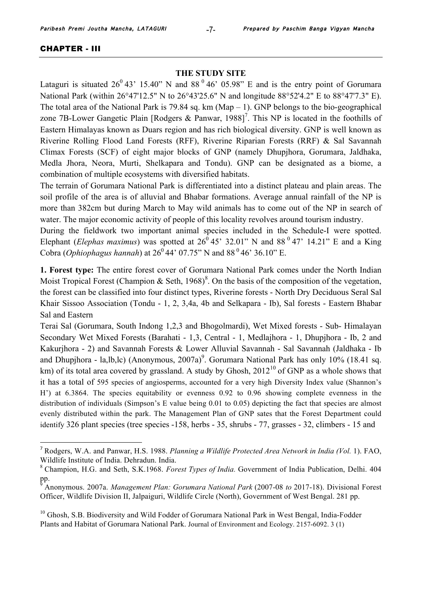#### CHAPTER - III

1

#### **THE STUDY SITE**

Lataguri is situated  $26^{\circ}$  43' 15.40" N and 88 $^{\circ}$  46' 05.98" E and is the entry point of Gorumara National Park (within 26°47'12.5" N to 26°43'25.6" N and longitude 88°52'4.2" E to 88°47'7.3" E). The total area of the National Park is 79.84 sq. km (Map  $- 1$ ). GNP belongs to the bio-geographical zone 7B-Lower Gangetic Plain [Rodgers & Panwar, 1988]<sup>7</sup>. This NP is located in the foothills of Eastern Himalayas known as Duars region and has rich biological diversity. GNP is well known as Riverine Rolling Flood Land Forests (RFF), Riverine Riparian Forests (RRF) & Sal Savannah Climax Forests (SCF) of eight major blocks of GNP (namely Dhupjhora, Gorumara, Jaldhaka, Medla Jhora, Neora, Murti, Shelkapara and Tondu). GNP can be designated as a biome, a combination of multiple ecosystems with diversified habitats.

The terrain of Gorumara National Park is differentiated into a distinct plateau and plain areas. The soil profile of the area is of alluvial and Bhabar formations. Average annual rainfall of the NP is more than 382cm but during March to May wild animals has to come out of the NP in search of water. The major economic activity of people of this locality revolves around tourism industry.

During the fieldwork two important animal species included in the Schedule-I were spotted. Elephant (*Elephas maximus*) was spotted at  $26^{\circ}$  45' 32.01" N and 88<sup> $\circ$ </sup> 47' 14.21" E and a King Cobra (*Ophiophagus hannah*) at  $26^{\circ}$  44' 07.75" N and  $88^{\circ}$  46' 36.10" E.

**1. Forest type:** The entire forest cover of Gorumara National Park comes under the North Indian Moist Tropical Forest (Champion & Seth, 1968)<sup>8</sup>. On the basis of the composition of the vegetation, the forest can be classified into four distinct types, Riverine forests - North Dry Deciduous Seral Sal Khair Sissoo Association (Tondu - 1, 2, 3,4a, 4b and Selkapara - Ib), Sal forests - Eastern Bhabar Sal and Eastern

Terai Sal (Gorumara, South Indong 1,2,3 and Bhogolmardi), Wet Mixed forests - Sub- Himalayan Secondary Wet Mixed Forests (Barahati - 1,3, Central - 1, Medlajhora - 1, Dhupjhora - Ib, 2 and Kakurjhora - 2) and Savannah Forests & Lower Alluvial Savannah - Sal Savannah (Jaldhaka - Ib and Dhupjhora - la,lb,lc) (Anonymous, 2007a)<sup>9</sup>. Gorumara National Park has only 10% (18.41 sq. km) of its total area covered by grassland. A study by Ghosh,  $2012^{10}$  of GNP as a whole shows that it has a total of 595 species of angiosperms, accounted for a very high Diversity Index value (Shannon's H') at 6.3864. The species equitability or evenness 0.92 to 0.96 showing complete evenness in the distribution of individuals (Simpson's E value being 0.01 to 0.05) depicting the fact that species are almost evenly distributed within the park. The Management Plan of GNP sates that the Forest Department could identify 326 plant species (tree species -158, herbs - 35, shrubs - 77, grasses - 32, climbers - 15 and

<sup>7</sup> Rodgers, W.A. and Panwar, H.S. 1988. *Planning a Wildlife Protected Area Network in India (Vol.* 1). FAO, Wildlife Institute of India. Dehradun. India.

<sup>8</sup> Champion, H.G. and Seth, S.K.1968. *Forest Types of India.* Government of India Publication, Delhi. 404 pp.

<sup>9</sup> Anonymous. 2007a. *Management Plan: Gorumara National Park* (2007-08 *to* 2017-18). Divisional Forest Officer, Wildlife Division II, Jalpaiguri, Wildlife Circle (North), Government of West Bengal. 281 pp.

<sup>&</sup>lt;sup>10</sup> Ghosh, S.B. Biodiversity and Wild Fodder of Gorumara National Park in West Bengal, India-Fodder Plants and Habitat of Gorumara National Park. Journal of Environment and Ecology. 2157-6092. 3 (1)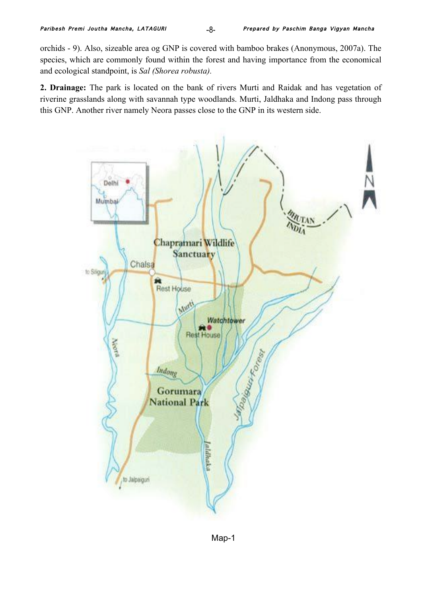orchids - 9). Also, sizeable area og GNP is covered with bamboo brakes (Anonymous, 2007a). The species, which are commonly found within the forest and having importance from the economical and ecological standpoint, is *Sal (Shorea robusta).* 

**2. Drainage:** The park is located on the bank of rivers Murti and Raidak and has vegetation of riverine grasslands along with savannah type woodlands. Murti, Jaldhaka and Indong pass through this GNP. Another river namely Neora passes close to the GNP in its western side.

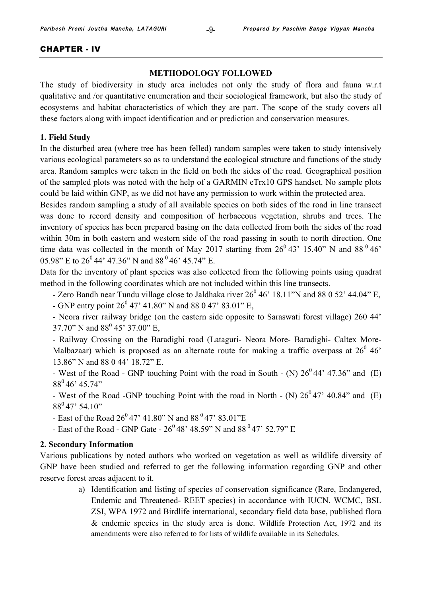#### CHAPTER - IV

#### **METHODOLOGY FOLLOWED**

The study of biodiversity in study area includes not only the study of flora and fauna w.r.t qualitative and /or quantitative enumeration and their sociological framework, but also the study of ecosystems and habitat characteristics of which they are part. The scope of the study covers all these factors along with impact identification and or prediction and conservation measures.

# **1. Field Study**

In the disturbed area (where tree has been felled) random samples were taken to study intensively various ecological parameters so as to understand the ecological structure and functions of the study area. Random samples were taken in the field on both the sides of the road. Geographical position of the sampled plots was noted with the help of a GARMIN eTrx10 GPS handset. No sample plots could be laid within GNP, as we did not have any permission to work within the protected area.

Besides random sampling a study of all available species on both sides of the road in line transect was done to record density and composition of herbaceous vegetation, shrubs and trees. The inventory of species has been prepared basing on the data collected from both the sides of the road within 30m in both eastern and western side of the road passing in south to north direction. One time data was collected in the month of May 2017 starting from  $26^{\circ}$  43' 15.40" N and 88<sup> $\circ$ </sup> 46' 05.98" E to  $26^{\circ}$  44' 47.36" N and 88 $^{\circ}$  46' 45.74" E.

Data for the inventory of plant species was also collected from the following points using quadrat method in the following coordinates which are not included within this line transects.

- Zero Bandh near Tundu village close to Jaldhaka river  $26^0$  46' 18.11"N and 88 0 52' 44.04" E,

- GNP entry point  $26^{\circ}$  47' 41.80" N and 88 0 47' 83.01" E,

- Neora river railway bridge (on the eastern side opposite to Saraswati forest village) 260 44' 37.70" N and  $88^{\circ}$  45' 37.00" E,

- Railway Crossing on the Baradighi road (Lataguri- Neora More- Baradighi- Caltex More-Malbazaar) which is proposed as an alternate route for making a traffic overpass at  $26^{\circ}$  46' 13.86" N and 88 0 44' 18.72" E.

- West of the Road - GNP touching Point with the road in South - (N)  $26^0 44' 47.36''$  and (E)  $88^0$  46' 45.74"

- West of the Road -GNP touching Point with the road in North - (N)  $26^047'$  40.84" and (E)  $88^0$  47' 54.10"

- East of the Road  $26^{\circ}$  47' 41.80" N and 88 $^{\circ}$  47' 83.01"E

- East of the Road - GNP Gate -  $26^{\circ}48'$  48.59" N and  $88^{\circ}47'$  52.79" E

#### **2. Secondary Information**

Various publications by noted authors who worked on vegetation as well as wildlife diversity of GNP have been studied and referred to get the following information regarding GNP and other reserve forest areas adjacent to it.

> a) Identification and listing of species of conservation significance (Rare, Endangered, Endemic and Threatened- REET species) in accordance with IUCN, WCMC, BSL ZSI, WPA 1972 and Birdlife international, secondary field data base, published flora & endemic species in the study area is done. Wildlife Protection Act, 1972 and its amendments were also referred to for lists of wildlife available in its Schedules.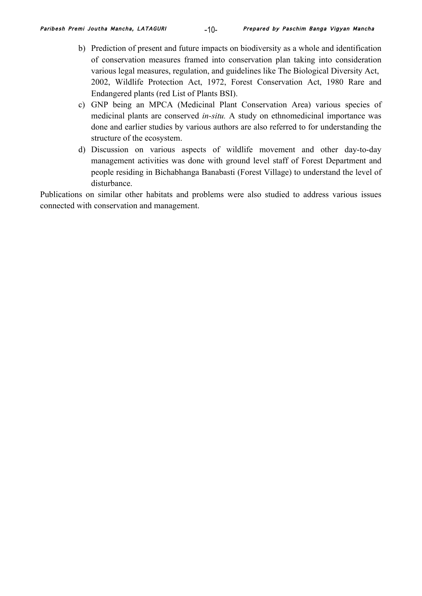- b) Prediction of present and future impacts on biodiversity as a whole and identification of conservation measures framed into conservation plan taking into consideration various legal measures, regulation, and guidelines like The Biological Diversity Act, 2002, Wildlife Protection Act, 1972, Forest Conservation Act, 1980 Rare and Endangered plants (red List of Plants BSI).
- c) GNP being an MPCA (Medicinal Plant Conservation Area) various species of medicinal plants are conserved *in-situ.* A study on ethnomedicinal importance was done and earlier studies by various authors are also referred to for understanding the structure of the ecosystem.
- d) Discussion on various aspects of wildlife movement and other day-to-day management activities was done with ground level staff of Forest Department and people residing in Bichabhanga Banabasti (Forest Village) to understand the level of disturbance.

Publications on similar other habitats and problems were also studied to address various issues connected with conservation and management.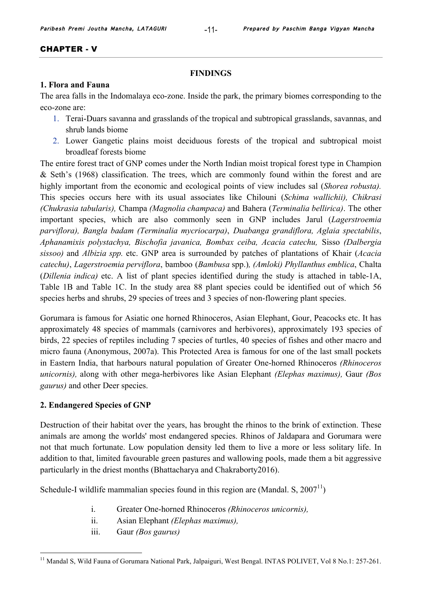#### CHAPTER - V

#### **FINDINGS**

### **1. Flora and Fauna**

The area falls in the Indomalaya eco-zone. Inside the park, the primary biomes corresponding to the eco-zone are:

- 1. Terai-Duars savanna and grasslands of the tropical and subtropical grasslands, savannas, and shrub lands biome
- 2. Lower Gangetic plains moist deciduous forests of the tropical and subtropical moist broadleaf forests biome

The entire forest tract of GNP comes under the North Indian moist tropical forest type in Champion & Seth's (1968) classification. The trees, which are commonly found within the forest and are highly important from the economic and ecological points of view includes sal (*Shorea robusta).* This species occurs here with its usual associates like Chilouni (*Schima wallichii), Chikrasi (Chukrasia tabularis),* Champa *(Magnolia champaca)* and Bahera (*Terminalia bellirica)*. The other important species, which are also commonly seen in GNP includes Jarul (*Lagerstroemia parviflora), Bangla badam (Terminalia mycriocarpa)*, *Duabanga grandiflora, Aglaia spectabilis*, *Aphanamixis polystachya, Bischofia javanica, Bombax ceiba, Acacia catechu,* Sisso *(Dalbergia sissoo)* and *Albizia spp.* etc. GNP area is surrounded by patches of plantations of Khair (*Acacia catechu)*, *Lagerstroemia perviflora*, bamboo (*Bambusa* spp.)*, (Amloki) Phyllanthus emblica*, Chalta (*Dillenia indica)* etc. A list of plant species identified during the study is attached in table-1A, Table 1B and Table 1C. In the study area 88 plant species could be identified out of which 56 species herbs and shrubs, 29 species of trees and 3 species of non-flowering plant species.

Gorumara is famous for Asiatic one horned Rhinoceros, Asian Elephant, Gour, Peacocks etc. It has approximately 48 species of mammals (carnivores and herbivores), approximately 193 species of birds, 22 species of reptiles including 7 species of turtles, 40 species of fishes and other macro and micro fauna (Anonymous, 2007a). This Protected Area is famous for one of the last small pockets in Eastern India, that harbours natural population of Greater One-horned Rhinoceros *(Rhinoceros unicornis),* along with other mega-herbivores like Asian Elephant *(Elephas maximus),* Gaur *(Bos gaurus)* and other Deer species.

#### **2. Endangered Species of GNP**

Destruction of their habitat over the years, has brought the rhinos to the brink of extinction. These animals are among the worlds' most endangered species. Rhinos of Jaldapara and Gorumara were not that much fortunate. Low population density led them to live a more or less solitary life. In addition to that, limited favourable green pastures and wallowing pools, made them a bit aggressive particularly in the driest months (Bhattacharya and Chakraborty2016).

Schedule-I wildlife mammalian species found in this region are (Mandal. S,  $2007<sup>11</sup>$ )

- i. Greater One-horned Rhinoceros *(Rhinoceros unicornis),*
- ii. Asian Elephant *(Elephas maximus),*
- iii. Gaur *(Bos gaurus)*

<sup>&</sup>lt;sup>11</sup> Mandal S, Wild Fauna of Gorumara National Park, Jalpaiguri, West Bengal. INTAS POLIVET, Vol 8 No.1: 257-261.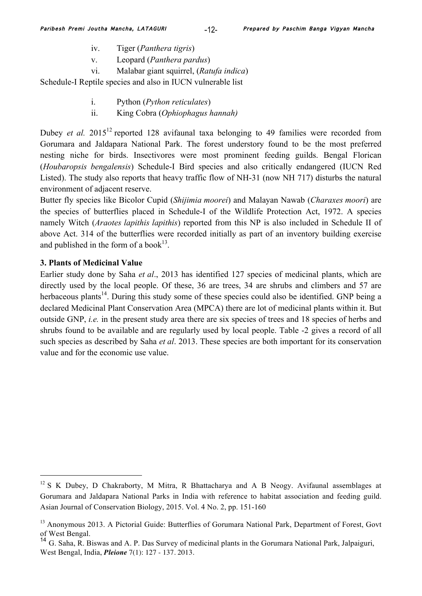- iv. Tiger (*Panthera tigris*)
- v. Leopard (*Panthera pardus*)
- vi. Malabar giant squirrel, (*Ratufa indica*)

Schedule-I Reptile species and also in IUCN vulnerable list

- i. Python (*Python reticulates*)
- ii. King Cobra (*Ophiophagus hannah)*

Dubey *et al.* 2015<sup>12</sup> reported 128 avifaunal taxa belonging to 49 families were recorded from Gorumara and Jaldapara National Park. The forest understory found to be the most preferred nesting niche for birds. Insectivores were most prominent feeding guilds. Bengal Florican (*Houbaropsis bengalensis*) Schedule-I Bird species and also critically endangered (IUCN Red Listed). The study also reports that heavy traffic flow of NH-31 (now NH 717) disturbs the natural environment of adjacent reserve.

Butter fly species like Bicolor Cupid (*Shijimia moorei*) and Malayan Nawab (*Charaxes moori*) are the species of butterflies placed in Schedule-I of the Wildlife Protection Act, 1972. A species namely Witch (*Araotes lapithis lapithis*) reported from this NP is also included in Schedule II of above Act. 314 of the butterflies were recorded initially as part of an inventory building exercise and published in the form of a book<sup>13</sup>.

# **3. Plants of Medicinal Value**

1

Earlier study done by Saha *et al*., 2013 has identified 127 species of medicinal plants, which are directly used by the local people. Of these, 36 are trees, 34 are shrubs and climbers and 57 are herbaceous plants<sup>14</sup>. During this study some of these species could also be identified. GNP being a declared Medicinal Plant Conservation Area (MPCA) there are lot of medicinal plants within it. But outside GNP, *i.e.* in the present study area there are six species of trees and 18 species of herbs and shrubs found to be available and are regularly used by local people. Table -2 gives a record of all such species as described by Saha *et al*. 2013. These species are both important for its conservation value and for the economic use value.

 $12$  S K Dubey, D Chakraborty, M Mitra, R Bhattacharya and A B Neogy. Avifaunal assemblages at Gorumara and Jaldapara National Parks in India with reference to habitat association and feeding guild. Asian Journal of Conservation Biology, 2015. Vol. 4 No. 2, pp. 151-160

<sup>&</sup>lt;sup>13</sup> Anonymous 2013. A Pictorial Guide: Butterflies of Gorumara National Park, Department of Forest, Govt of West Bengal.

<sup>14</sup> G. Saha, R. Biswas and A. P. Das Survey of medicinal plants in the Gorumara National Park, Jalpaiguri, West Bengal, India, *Pleione* 7(1): 127 - 137. 2013.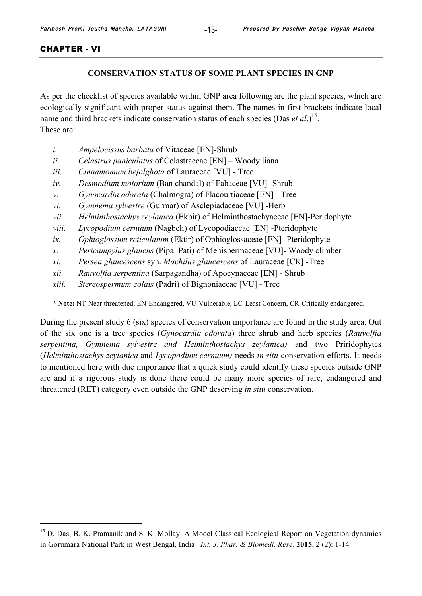#### CHAPTER - VI

1

# **CONSERVATION STATUS OF SOME PLANT SPECIES IN GNP**

As per the checklist of species available within GNP area following are the plant species, which are ecologically significant with proper status against them. The names in first brackets indicate local name and third brackets indicate conservation status of each species (Das *et al*.) 15. These are:

- *i. Ampelocissus barbata* of Vitaceae [EN]-Shrub
- *ii. Celastrus paniculatus* of Celastraceae [EN] Woody liana
- *iii. Cinnamomum bejolghota* of Lauraceae [VU] Tree
- *iv. Desmodium motorium* (Ban chandal) of Fabaceae [VU] -Shrub
- *v. Gynocardia odorata* (Chalmogra) of Flacourtiaceae [EN] Tree
- *vi. Gymnema sylvestre* (Gurmar) of Asclepiadaceae [VU] -Herb
- *vii. Helminthostachys zeylanica* (Ekbir) of Helminthostachyaceae [EN]-Peridophyte
- *viii. Lycopodium cernuum* (Nagbeli) of Lycopodiaceae [EN] -Pteridophyte
- *ix. Ophioglossum reticulatum* (Ektir) of Ophioglossaceae [EN] -Pteridophyte
- *x. Pericampylus glaucus* (Pipal Pati) of Menispermaceae [VU]- Woody climber
- *xi. Persea glaucescens* syn. *Machilus glaucescens* of Lauraceae [CR] -Tree
- *xii. Rauvolfia serpentina* (Sarpagandha) of Apocynaceae [EN] Shrub
- *xiii. Stereospermum colais* (Padri) of Bignoniaceae [VU] Tree

**\* Note:** NT-Near threatened, EN-Endangered, VU-Vulnerable, LC-Least Concern, CR-Critically endangered.

During the present study 6 (six) species of conservation importance are found in the study area. Out of the six one is a tree species (*Gynocardia odorata*) three shrub and herb species (*Rauvolfia serpentina, Gymnema sylvestre and Helminthostachys zeylanica)* and two Priridophytes (*Helminthostachys zeylanica* and *Lycopodium cernuum)* needs *in situ* conservation efforts. It needs to mentioned here with due importance that a quick study could identify these species outside GNP are and if a rigorous study is done there could be many more species of rare, endangered and threatened (RET) category even outside the GNP deserving *in situ* conservation.

<sup>&</sup>lt;sup>15</sup> D. Das, B. K. Pramanik and S. K. Mollay. A Model Classical Ecological Report on Vegetation dynamics in Gorumara National Park in West Bengal, India*Int. J. Phar. & Biomedi. Rese.* **2015**, 2 (2): 1-14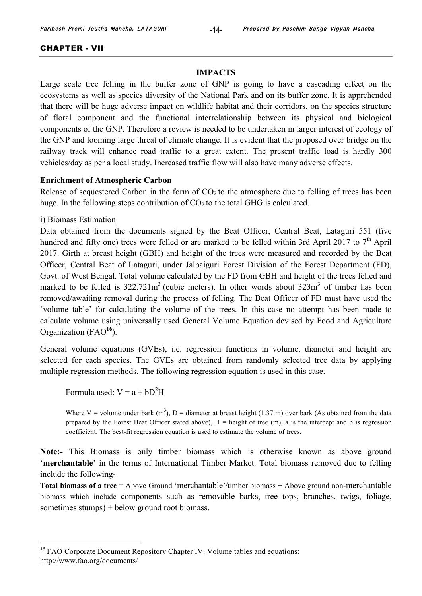#### CHAPTER - VII

#### **IMPACTS**

Large scale tree felling in the buffer zone of GNP is going to have a cascading effect on the ecosystems as well as species diversity of the National Park and on its buffer zone. It is apprehended that there will be huge adverse impact on wildlife habitat and their corridors, on the species structure of floral component and the functional interrelationship between its physical and biological components of the GNP. Therefore a review is needed to be undertaken in larger interest of ecology of the GNP and looming large threat of climate change. It is evident that the proposed over bridge on the railway track will enhance road traffic to a great extent. The present traffic load is hardly 300 vehicles/day as per a local study. Increased traffic flow will also have many adverse effects.

#### **Enrichment of Atmospheric Carbon**

Release of sequestered Carbon in the form of  $CO<sub>2</sub>$  to the atmosphere due to felling of trees has been huge. In the following steps contribution of  $CO<sub>2</sub>$  to the total GHG is calculated.

#### i) Biomass Estimation

1

Data obtained from the documents signed by the Beat Officer, Central Beat, Lataguri 551 (five hundred and fifty one) trees were felled or are marked to be felled within 3rd April 2017 to 7<sup>th</sup> April 2017. Girth at breast height (GBH) and height of the trees were measured and recorded by the Beat Officer, Central Beat of Lataguri, under Jalpaiguri Forest Division of the Forest Department (FD), Govt. of West Bengal. Total volume calculated by the FD from GBH and height of the trees felled and marked to be felled is  $322.721m<sup>3</sup>$  (cubic meters). In other words about  $323m<sup>3</sup>$  of timber has been removed/awaiting removal during the process of felling. The Beat Officer of FD must have used the 'volume table' for calculating the volume of the trees. In this case no attempt has been made to calculate volume using universally used General Volume Equation devised by Food and Agriculture Organization (FAO**<sup>16</sup>**).

General volume equations (GVEs), i.e. regression functions in volume, diameter and height are selected for each species. The GVEs are obtained from randomly selected tree data by applying multiple regression methods. The following regression equation is used in this case.

Formula used:  $V = a + bD^2H$ 

Where V = volume under bark  $(m<sup>3</sup>)$ , D = diameter at breast height (1.37 m) over bark (As obtained from the data prepared by the Forest Beat Officer stated above),  $H =$  height of tree (m), a is the intercept and b is regression coefficient. The best-fit regression equation is used to estimate the volume of trees.

**Note:-** This Biomass is only timber biomass which is otherwise known as above ground '**merchantable**' in the terms of International Timber Market. Total biomass removed due to felling include the following-

**Total biomass of a tree** = Above Ground 'merchantable'/timber biomass + Above ground non-merchantable biomass which include components such as removable barks, tree tops, branches, twigs, foliage, sometimes stumps) + below ground root biomass.

<sup>&</sup>lt;sup>16</sup> FAO Corporate Document Repository Chapter IV: Volume tables and equations: http://www.fao.org/documents/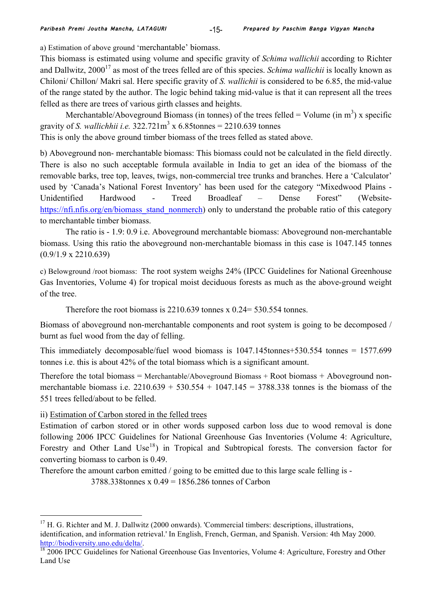a) Estimation of above ground 'merchantable' biomass.

This biomass is estimated using volume and specific gravity of *Schima wallichii* according to Richter and Dallwitz, 2000<sup>17</sup> as most of the trees felled are of this species. *Schima wallichii* is locally known as Chiloni/ Chillon/ Makri sal. Here specific gravity of *S. wallichii* is considered to be 6.85, the mid-value of the range stated by the author. The logic behind taking mid-value is that it can represent all the trees felled as there are trees of various girth classes and heights.

Merchantable/Aboveground Biomass (in tonnes) of the trees felled = Volume (in  $m<sup>3</sup>$ ) x specific gravity of *S. wallichhii i.e.*  $322.721 \text{m}^3 \times 6.85 \text{tonnes} = 2210.639 \text{ tonnes}$ 

This is only the above ground timber biomass of the trees felled as stated above.

b) Aboveground non- merchantable biomass: This biomass could not be calculated in the field directly. There is also no such acceptable formula available in India to get an idea of the biomass of the removable barks, tree top, leaves, twigs, non-commercial tree trunks and branches. Here a 'Calculator' used by 'Canada's National Forest Inventory' has been used for the category "Mixedwood Plains - Unidentified Hardwood - Treed Broadleaf – Dense Forest" (Websitehttps://nfi.nfis.org/en/biomass\_stand\_nonmerch) only to understand the probable ratio of this category to merchantable timber biomass.

The ratio is - 1.9: 0.9 i.e. Aboveground merchantable biomass: Aboveground non-merchantable biomass. Using this ratio the aboveground non-merchantable biomass in this case is 1047.145 tonnes (0.9/1.9 x 2210.639)

c) Belowground /root biomass: The root system weighs 24% (IPCC Guidelines for National Greenhouse Gas Inventories, Volume 4) for tropical moist deciduous forests as much as the above-ground weight of the tree.

Therefore the root biomass is 2210.639 tonnes x 0.24= 530.554 tonnes.

Biomass of aboveground non-merchantable components and root system is going to be decomposed / burnt as fuel wood from the day of felling.

This immediately decomposable/fuel wood biomass is 1047.145tonnes+530.554 tonnes = 1577.699 tonnes i.e. this is about 42% of the total biomass which is a significant amount.

Therefore the total biomass = Merchantable/Aboveground Biomass + Root biomass + Aboveground nonmerchantable biomass i.e.  $2210.639 + 530.554 + 1047.145 = 3788.338$  tonnes is the biomass of the 551 trees felled/about to be felled.

# ii) Estimation of Carbon stored in the felled trees

<u>.</u>

Estimation of carbon stored or in other words supposed carbon loss due to wood removal is done following 2006 IPCC Guidelines for National Greenhouse Gas Inventories (Volume 4: Agriculture, Forestry and Other Land Use<sup>18</sup>) in Tropical and Subtropical forests. The conversion factor for converting biomass to carbon is 0.49.

Therefore the amount carbon emitted / going to be emitted due to this large scale felling is -

3788.338tonnes x 0.49 = 1856.286 tonnes of Carbon

 $17$  H. G. Richter and M. J. Dallwitz (2000 onwards). 'Commercial timbers: descriptions, illustrations, identification, and information retrieval.' In English, French, German, and Spanish. Version: 4th May 2000. http://biodiversity.uno.edu/delta/.<br><sup>18</sup> 2006 IPCC Guidelines for National Greenhouse Gas Inventories, Volume 4: Agriculture, Forestry and Other

Land Use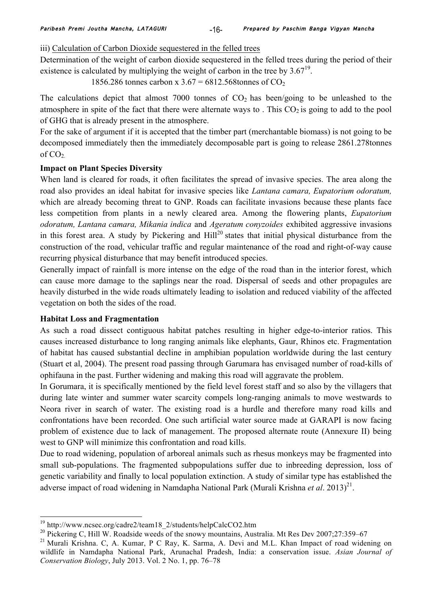iii) Calculation of Carbon Dioxide sequestered in the felled trees

Determination of the weight of carbon dioxide sequestered in the felled trees during the period of their existence is calculated by multiplying the weight of carbon in the tree by  $3.67^{19}$ .

1856.286 tonnes carbon x  $3.67 = 6812.568$ tonnes of CO<sub>2</sub>

The calculations depict that almost  $7000$  tonnes of  $CO<sub>2</sub>$  has been/going to be unleashed to the atmosphere in spite of the fact that there were alternate ways to. This  $CO<sub>2</sub>$  is going to add to the pool of GHG that is already present in the atmosphere.

For the sake of argument if it is accepted that the timber part (merchantable biomass) is not going to be decomposed immediately then the immediately decomposable part is going to release 2861.278tonnes of  $CO<sub>2</sub>$ 

# **Impact on Plant Species Diversity**

When land is cleared for roads, it often facilitates the spread of invasive species. The area along the road also provides an ideal habitat for invasive species like *Lantana camara, Eupatorium odoratum,* which are already becoming threat to GNP. Roads can facilitate invasions because these plants face less competition from plants in a newly cleared area. Among the flowering plants, *Eupatorium odoratum, Lantana camara, Mikania indica* and *Ageratum conyzoides* exhibited aggressive invasions in this forest area. A study by Pickering and  $Hill<sup>20</sup>$  states that initial physical disturbance from the construction of the road, vehicular traffic and regular maintenance of the road and right-of-way cause recurring physical disturbance that may benefit introduced species.

Generally impact of rainfall is more intense on the edge of the road than in the interior forest, which can cause more damage to the saplings near the road. Dispersal of seeds and other propagules are heavily disturbed in the wide roads ultimately leading to isolation and reduced viability of the affected vegetation on both the sides of the road.

# **Habitat Loss and Fragmentation**

As such a road dissect contiguous habitat patches resulting in higher edge-to-interior ratios. This causes increased disturbance to long ranging animals like elephants, Gaur, Rhinos etc. Fragmentation of habitat has caused substantial decline in amphibian population worldwide during the last century (Stuart et al, 2004). The present road passing through Garumara has envisaged number of road-kills of ophifauna in the past. Further widening and making this road will aggravate the problem.

In Gorumara, it is specifically mentioned by the field level forest staff and so also by the villagers that during late winter and summer water scarcity compels long-ranging animals to move westwards to Neora river in search of water. The existing road is a hurdle and therefore many road kills and confrontations have been recorded. One such artificial water source made at GARAPI is now facing problem of existence due to lack of management. The proposed alternate route (Annexure II) being west to GNP will minimize this confrontation and road kills.

Due to road widening, population of arboreal animals such as rhesus monkeys may be fragmented into small sub-populations. The fragmented subpopulations suffer due to inbreeding depression, loss of genetic variability and finally to local population extinction. A study of similar type has established the adverse impact of road widening in Namdapha National Park (Murali Krishna *et al.* 2013)<sup>21</sup>.

<sup>&</sup>lt;sup>19</sup> http://www.ncsec.org/cadre2/team18\_2/students/helpCalcCO2.htm

<sup>&</sup>lt;sup>20</sup> Pickering C, Hill W. Roadside weeds of the snowy mountains, Australia. Mt Res Dev 2007;27:359–67

<sup>&</sup>lt;sup>21</sup> Murali Krishna. C, A. Kumar, P C Ray, K. Sarma, A. Devi and M.L. Khan Impact of road widening on wildlife in Namdapha National Park, Arunachal Pradesh, India: a conservation issue. *Asian Journal of Conservation Biology*, July 2013. Vol. 2 No. 1, pp. 76–78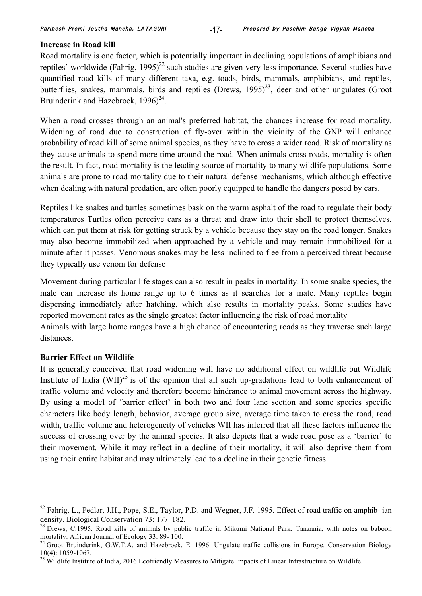## **Increase in Road kill**

Road mortality is one factor, which is potentially important in declining populations of amphibians and reptiles' worldwide (Fahrig,  $1995)^{22}$  such studies are given very less importance. Several studies have quantified road kills of many different taxa, e.g. toads, birds, mammals, amphibians, and reptiles, butterflies, snakes, mammals, birds and reptiles (Drews,  $1995$ )<sup>23</sup>, deer and other ungulates (Groot Bruinderink and Hazebroek,  $1996)^{24}$ .

When a road crosses through an animal's preferred habitat, the chances increase for road mortality. Widening of road due to construction of fly-over within the vicinity of the GNP will enhance probability of road kill of some animal species, as they have to cross a wider road. Risk of mortality as they cause animals to spend more time around the road. When animals cross roads, mortality is often the result. In fact, road mortality is the leading source of mortality to many wildlife populations. Some animals are prone to road mortality due to their natural defense mechanisms, which although effective when dealing with natural predation, are often poorly equipped to handle the dangers posed by cars.

Reptiles like snakes and turtles sometimes bask on the warm asphalt of the road to regulate their body temperatures Turtles often perceive cars as a threat and draw into their shell to protect themselves, which can put them at risk for getting struck by a vehicle because they stay on the road longer. Snakes may also become immobilized when approached by a vehicle and may remain immobilized for a minute after it passes. Venomous snakes may be less inclined to flee from a perceived threat because they typically use venom for defense

Movement during particular life stages can also result in peaks in mortality. In some snake species, the male can increase its home range up to 6 times as it searches for a mate. Many reptiles begin dispersing immediately after hatching, which also results in mortality peaks. Some studies have reported movement rates as the single greatest factor influencing the risk of road mortality Animals with large home ranges have a high chance of encountering roads as they traverse such large distances.

### **Barrier Effect on Wildlife**

It is generally conceived that road widening will have no additional effect on wildlife but Wildlife Institute of India (WII)<sup>25</sup> is of the opinion that all such up-gradations lead to both enhancement of traffic volume and velocity and therefore become hindrance to animal movement across the highway. By using a model of 'barrier effect' in both two and four lane section and some species specific characters like body length, behavior, average group size, average time taken to cross the road, road width, traffic volume and heterogeneity of vehicles WII has inferred that all these factors influence the success of crossing over by the animal species. It also depicts that a wide road pose as a 'barrier' to their movement. While it may reflect in a decline of their mortality, it will also deprive them from using their entire habitat and may ultimately lead to a decline in their genetic fitness.

 $^{22}$  Fahrig, L., Pedlar, J.H., Pope, S.E., Taylor, P.D. and Wegner, J.F. 1995. Effect of road traffic on amphib- ian density. Biological Conservation 73: 177–182.

<sup>&</sup>lt;sup>23</sup> Drews, C.1995. Road kills of animals by public traffic in Mikumi National Park, Tanzania, with notes on baboon mortality. African Journal of Ecology 33: 89- 100.<br><sup>24</sup> Groot Bruinderink, G.W.T.A. and Hazebroek, E. 1996. Ungulate traffic collisions in Europe. Conservation Biology

<sup>10(4): 1059-1067.</sup> <sup>25</sup> Wildlife Institute of India, 2016 Ecofriendly Measures to Mitigate Impacts of Linear Infrastructure on Wildlife.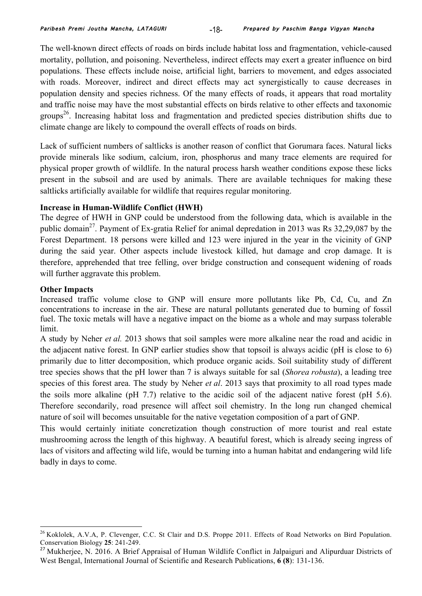The well-known direct effects of roads on birds include habitat loss and fragmentation, vehicle-caused mortality, pollution, and poisoning. Nevertheless, indirect effects may exert a greater influence on bird populations. These effects include noise, artificial light, barriers to movement, and edges associated with roads. Moreover, indirect and direct effects may act synergistically to cause decreases in population density and species richness. Of the many effects of roads, it appears that road mortality and traffic noise may have the most substantial effects on birds relative to other effects and taxonomic groups26. Increasing habitat loss and fragmentation and predicted species distribution shifts due to climate change are likely to compound the overall effects of roads on birds.

Lack of sufficient numbers of saltlicks is another reason of conflict that Gorumara faces. Natural licks provide minerals like sodium, calcium, iron, phosphorus and many trace elements are required for physical proper growth of wildlife. In the natural process harsh weather conditions expose these licks present in the subsoil and are used by animals. There are available techniques for making these saltlicks artificially available for wildlife that requires regular monitoring.

# **Increase in Human-Wildlife Conflict (HWH)**

The degree of HWH in GNP could be understood from the following data, which is available in the public domain<sup>27</sup>. Payment of Ex-gratia Relief for animal depredation in 2013 was Rs  $32,29,087$  by the Forest Department. 18 persons were killed and 123 were injured in the year in the vicinity of GNP during the said year. Other aspects include livestock killed, hut damage and crop damage. It is therefore, apprehended that tree felling, over bridge construction and consequent widening of roads will further aggravate this problem.

# **Other Impacts**

Increased traffic volume close to GNP will ensure more pollutants like Pb, Cd, Cu, and Zn concentrations to increase in the air. These are natural pollutants generated due to burning of fossil fuel. The toxic metals will have a negative impact on the biome as a whole and may surpass tolerable limit.

A study by Neher *et al.* 2013 shows that soil samples were more alkaline near the road and acidic in the adjacent native forest. In GNP earlier studies show that topsoil is always acidic (pH is close to 6) primarily due to litter decomposition, which produce organic acids. Soil suitability study of different tree species shows that the pH lower than 7 is always suitable for sal (*Shorea robusta*), a leading tree species of this forest area. The study by Neher *et al*. 2013 says that proximity to all road types made the soils more alkaline (pH 7.7) relative to the acidic soil of the adjacent native forest (pH 5.6). Therefore secondarily, road presence will affect soil chemistry. In the long run changed chemical nature of soil will becomes unsuitable for the native vegetation composition of a part of GNP.

This would certainly initiate concretization though construction of more tourist and real estate mushrooming across the length of this highway. A beautiful forest, which is already seeing ingress of lacs of visitors and affecting wild life, would be turning into a human habitat and endangering wild life badly in days to come.

<sup>&</sup>lt;sup>26</sup> Koklolek, A.V.A, P. Clevenger, C.C. St Clair and D.S. Proppe 2011. Effects of Road Networks on Bird Population. Conservation Biology **25**: 241-249.

<sup>&</sup>lt;sup>27</sup> Mukherjee, N. 2016. A Brief Appraisal of Human Wildlife Conflict in Jalpaiguri and Alipurduar Districts of West Bengal, International Journal of Scientific and Research Publications, **6 (8**): 131-136.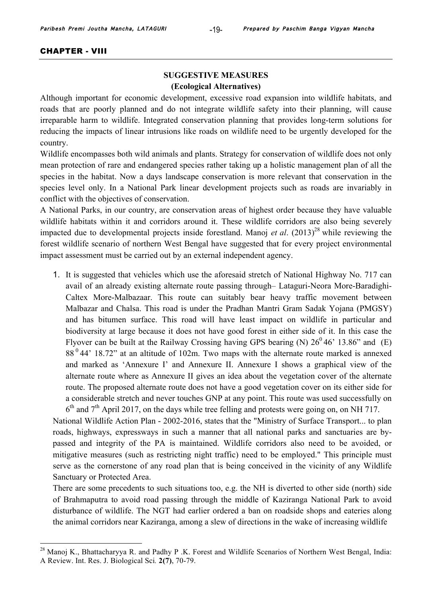#### CHAPTER - VIII

# **SUGGESTIVE MEASURES (Ecological Alternatives)**

Although important for economic development, excessive road expansion into wildlife habitats, and roads that are poorly planned and do not integrate wildlife safety into their planning, will cause irreparable harm to wildlife. Integrated conservation planning that provides long-term solutions for reducing the impacts of linear intrusions like roads on wildlife need to be urgently developed for the country.

Wildlife encompasses both wild animals and plants. Strategy for conservation of wildlife does not only mean protection of rare and endangered species rather taking up a holistic management plan of all the species in the habitat. Now a days landscape conservation is more relevant that conservation in the species level only. In a National Park linear development projects such as roads are invariably in conflict with the objectives of conservation.

A National Parks, in our country, are conservation areas of highest order because they have valuable wildlife habitats within it and corridors around it. These wildlife corridors are also being severely impacted due to developmental projects inside forestland. Manoj *et al.*  $(2013)^{28}$  while reviewing the forest wildlife scenario of northern West Bengal have suggested that for every project environmental impact assessment must be carried out by an external independent agency.

1. It is suggested that vehicles which use the aforesaid stretch of National Highway No. 717 can avail of an already existing alternate route passing through– Lataguri-Neora More-Baradighi-Caltex More-Malbazaar. This route can suitably bear heavy traffic movement between Malbazar and Chalsa. This road is under the Pradhan Mantri Gram Sadak Yojana (PMGSY) and has bitumen surface. This road will have least impact on wildlife in particular and biodiversity at large because it does not have good forest in either side of it. In this case the Flyover can be built at the Railway Crossing having GPS bearing (N)  $26^0 46'$  13.86" and (E) 88 0 44' 18.72" at an altitude of 102m. Two maps with the alternate route marked is annexed and marked as 'Annexure I' and Annexure II. Annexure I shows a graphical view of the alternate route where as Annexure II gives an idea about the vegetation cover of the alternate route. The proposed alternate route does not have a good vegetation cover on its either side for a considerable stretch and never touches GNP at any point. This route was used successfully on  $6<sup>th</sup>$  and  $7<sup>th</sup>$  April 2017, on the days while tree felling and protests were going on, on NH 717.

National Wildlife Action Plan - 2002-2016, states that the "Ministry of Surface Transport... to plan roads, highways, expressways in such a manner that all national parks and sanctuaries are bypassed and integrity of the PA is maintained. Wildlife corridors also need to be avoided, or mitigative measures (such as restricting night traffic) need to be employed." This principle must serve as the cornerstone of any road plan that is being conceived in the vicinity of any Wildlife Sanctuary or Protected Area.

There are some precedents to such situations too, e.g. the NH is diverted to other side (north) side of Brahmaputra to avoid road passing through the middle of Kaziranga National Park to avoid disturbance of wildlife. The NGT had earlier ordered a ban on roadside shops and eateries along the animal corridors near Kaziranga, among a slew of directions in the wake of increasing wildlife

<sup>&</sup>lt;sup>28</sup> Manoj K., Bhattacharyya R. and Padhy P .K. Forest and Wildlife Scenarios of Northern West Bengal, India: A Review. Int. Res. J. Biological Sci*.* **2(7)**, 70-79.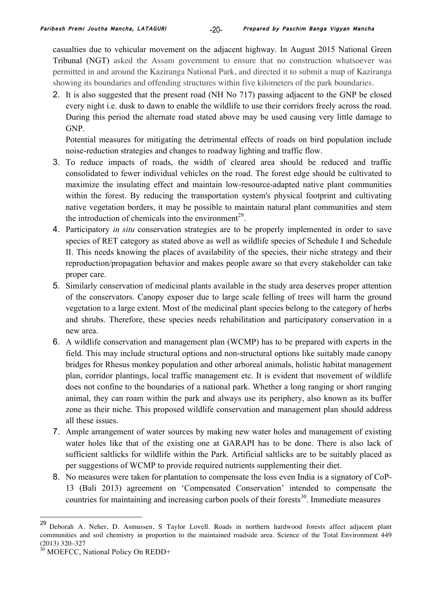casualties due to vehicular movement on the adjacent highway. In August 2015 National Green Tribunal (NGT) asked the Assam government to ensure that no construction whatsoever was permitted in and around the Kaziranga National Park, and directed it to submit a map of Kaziranga showing its boundaries and offending structures within five kilometers of the park boundaries.

2. It is also suggested that the present road (NH No 717) passing adjacent to the GNP be closed every night i.e. dusk to dawn to enable the wildlife to use their corridors freely across the road. During this period the alternate road stated above may be used causing very little damage to GNP.

Potential measures for mitigating the detrimental effects of roads on bird population include noise-reduction strategies and changes to roadway lighting and traffic flow.

- 3. To reduce impacts of roads, the width of cleared area should be reduced and traffic consolidated to fewer individual vehicles on the road. The forest edge should be cultivated to maximize the insulating effect and maintain low-resource-adapted native plant communities within the forest. By reducing the transportation system's physical footprint and cultivating native vegetation borders, it may be possible to maintain natural plant communities and stem the introduction of chemicals into the environment<sup>29</sup>.
- 4. Participatory *in situ* conservation strategies are to be properly implemented in order to save species of RET category as stated above as well as wildlife species of Schedule I and Schedule II. This needs knowing the places of availability of the species, their niche strategy and their reproduction/propagation behavior and makes people aware so that every stakeholder can take proper care.
- 5. Similarly conservation of medicinal plants available in the study area deserves proper attention of the conservators. Canopy exposer due to large scale felling of trees will harm the ground vegetation to a large extent. Most of the medicinal plant species belong to the category of herbs and shrubs. Therefore, these species needs rehabilitation and participatory conservation in a new area.
- 6. A wildlife conservation and management plan (WCMP) has to be prepared with experts in the field. This may include structural options and non-structural options like suitably made canopy bridges for Rhesus monkey population and other arboreal animals, holistic habitat management plan, corridor plantings, local traffic management etc. It is evident that movement of wildlife does not confine to the boundaries of a national park. Whether a long ranging or short ranging animal, they can roam within the park and always use its periphery, also known as its buffer zone as their niche. This proposed wildlife conservation and management plan should address all these issues.
- 7. Ample arrangement of water sources by making new water holes and management of existing water holes like that of the existing one at GARAPI has to be done. There is also lack of sufficient saltlicks for wildlife within the Park. Artificial saltlicks are to be suitably placed as per suggestions of WCMP to provide required nutrients supplementing their diet.
- 8. No measures were taken for plantation to compensate the loss even India is a signatory of CoP-13 (Bali 2013) agreement on 'Compensated Conservation' intended to compensate the countries for maintaining and increasing carbon pools of their forests<sup>30</sup>. Immediate measures

 <sup>29</sup> Deborah A. Neher, D. Asmussen, S Taylor Lovell. Roads in northern hardwood forests affect adjacent plant communities and soil chemistry in proportion to the maintained roadside area. Science of the Total Environment 449 (2013) 320–327

<sup>&</sup>lt;sup>30</sup> MOEFCC, National Policy On REDD+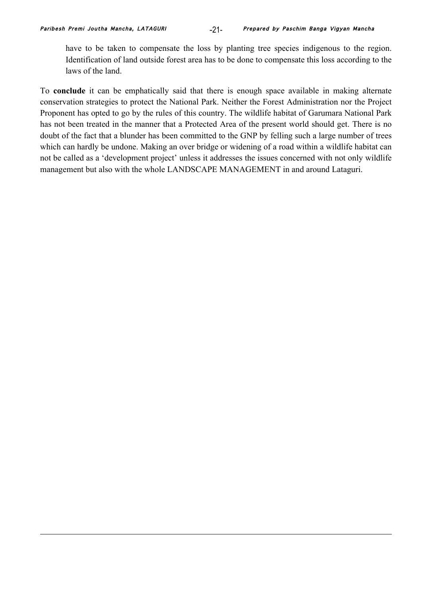1

have to be taken to compensate the loss by planting tree species indigenous to the region. Identification of land outside forest area has to be done to compensate this loss according to the laws of the land.

To **conclude** it can be emphatically said that there is enough space available in making alternate conservation strategies to protect the National Park. Neither the Forest Administration nor the Project Proponent has opted to go by the rules of this country. The wildlife habitat of Garumara National Park has not been treated in the manner that a Protected Area of the present world should get. There is no doubt of the fact that a blunder has been committed to the GNP by felling such a large number of trees which can hardly be undone. Making an over bridge or widening of a road within a wildlife habitat can not be called as a 'development project' unless it addresses the issues concerned with not only wildlife management but also with the whole LANDSCAPE MANAGEMENT in and around Lataguri.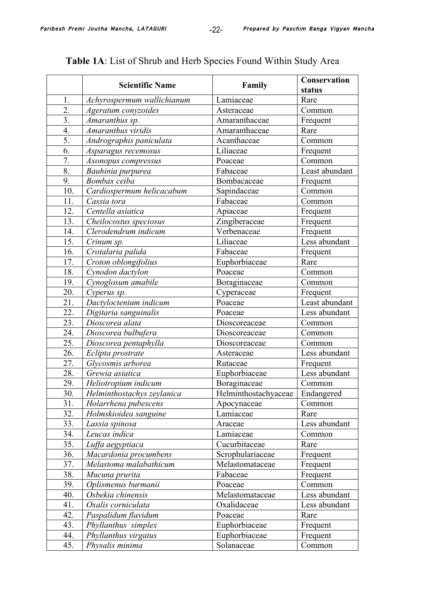|                  | <b>Scientific Name</b>     | Family                            | Conservation   |
|------------------|----------------------------|-----------------------------------|----------------|
|                  |                            |                                   | status         |
| 1.               | Achyrospermum wallichianum | Lamiaceae                         | Rare           |
| 2.               | Ageratum conyzoides        | Asteraceae                        | Common         |
| 3.               | Amaranthus sp.             | Amaranthaceae                     | Frequent       |
| 4.               | Amaranthus viridis         | Amaranthaceae                     | Rare           |
| $\overline{5}$ . | Andrographis paniculata    | Acanthaceae                       | Common         |
| 6.               | Asparagus recemosus        | Liliaceae                         | Frequent       |
| 7.               | Axonopus compressus        | Poaceae                           | Common         |
| 8.               | Bauhinia purpurea          | Fabaceae                          | Least abundant |
| 9.               | Bombax ceiba               | Bombacaceae                       | Frequent       |
| 10.              | Cardiospermum helicacabum  | Sapindaceae                       | Common         |
| 11.              | Cassia tora                | Fabaceae                          | Common         |
| 12.              | Centella asiatica          | Apiaceae                          | Frequent       |
| 13.              | Cheilocostus speciosus     | Zingiberaceae                     | Frequent       |
| 14.              | Clerodendrum indicum       | Verbenaceae                       | Frequent       |
| 15.              | Crinum sp.                 | Liliaceae                         | Less abundant  |
| 16.              | Crotalaria palida          | Fabaceae                          | Frequent       |
| 17.              | Croton oblongifolius       | Euphorbiaceae                     | Rare           |
| 18.              | Cynodon dactylon           | Poaceae                           | Common         |
| 19.              | Cynoglosum amabile         | Boraginaceae                      | Common         |
| 20.              | Cyperus sp.                | Cyperaceae                        | Frequent       |
| 21.              | Dactyloctenium indicum     | Poaceae                           | Least abundant |
| 22.              | Digitaria sanguinalis      | Poaceae                           | Less abundant  |
| 23.              | Dioscorea alata            | Dioscoreaceae                     | Common         |
| 24.              | Dioscorea bulbufera        | Dioscoreaceae                     | Common         |
| 25.              | Dioscorea pentaphylla      | Dioscoreaceae                     | Common         |
| 26.              | Eclipta prostrate          | Asteraceae                        | Less abundant  |
| 27.              | Glycosmis arborea          | Rutaceae                          | Frequent       |
| 28.              | Grewia asiatica            | Euphorbiaceae                     | Less abundant  |
| 29.              | Heliotropium indicum       | Boraginaceae                      | Common         |
| 30.              | Helminthostachys zeylanica | Helminthostachyaceae   Endangered |                |
| 31.              | Holarrhena pubescens       | Apocynaceae                       | Common         |
| 32.              | Holmskioidea sanguine      | Lamiaceae                         | Rare           |
| 33.              | Lassia spinosa             | Araceae                           | Less abundant  |
| 34.              | Leucas indica              | Lamiaceae                         | Common         |
| 35.              | Luffa aegyptiaca           | Cucurbitaceae                     | Rare           |
| 36.              | Macardonia procumbens      | Scrophulariaceae                  | Frequent       |
| 37.              | Melastoma malabathicum     | Melastomataceae                   | Frequent       |
| 38.              | Mucuna prurita             | Fabaceae                          | Frequent       |
| 39.              | Oplismenus burmanii        | Poaceae                           | Common         |
| 40.              | Osbekia chinensis          | Melastomataceae                   | Less abundant  |
| 41.              | Oxalis corniculata         | Oxalidaceae                       | Less abundant  |
| 42.              | Paspalidum flavidum        | Poaceae                           | Rare           |
| 43.              | Phyllanthus simplex        | Euphorbiaceae                     | Frequent       |
| 44.              | Phyllanthus virgatus       | Euphorbiaceae                     | Frequent       |
| 45.              | Physalis minima            | Solanaceae                        | Common         |

# **Table 1A**: List of Shrub and Herb Species Found Within Study Area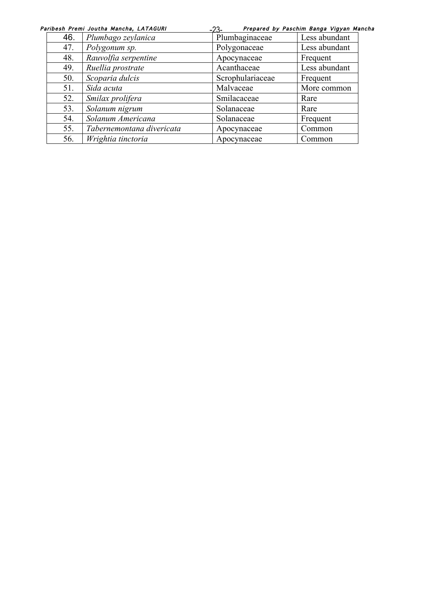|     | Paribesh Premi Joutha Mancha, LATAGURI | $-23-$           | Prepared by Paschim Banga Vigyan Mancha |  |  |
|-----|----------------------------------------|------------------|-----------------------------------------|--|--|
| 46. | Plumbago zeylanica                     | Plumbaginaceae   | Less abundant                           |  |  |
| 47. | Polygonum sp.                          | Polygonaceae     | Less abundant                           |  |  |
| 48. | Rauvolfia serpentine                   | Apocynaceae      | Frequent                                |  |  |
| 49. | Ruellia prostrate                      | Acanthaceae      | Less abundant                           |  |  |
| 50. | Scoparia dulcis                        | Scrophulariaceae | Frequent                                |  |  |
| 51. | Sida acuta                             | Malvaceae        | More common                             |  |  |
| 52. | Smilax prolifera                       | Smilacaceae      | Rare                                    |  |  |
| 53. | Solanum nigrum                         | Solanaceae       | Rare                                    |  |  |
| 54. | Solanum Americana                      | Solanaceae       | Frequent                                |  |  |
| 55. | Tabernemontana divericata              | Apocynaceae      | Common                                  |  |  |
| 56. | Wrightia tinctoria                     | Apocynaceae      | Common                                  |  |  |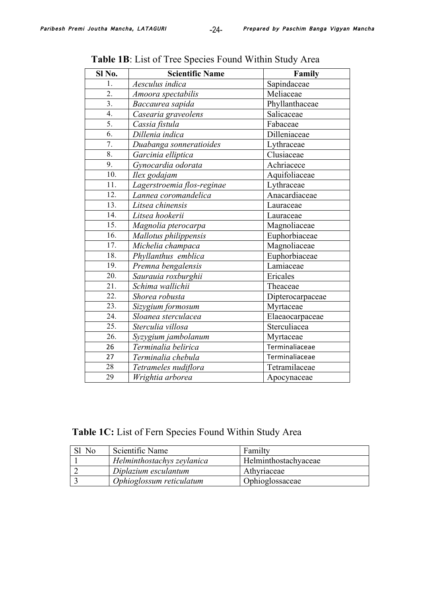| Sl No.            | <b>Scientific Name</b>     | Family           |
|-------------------|----------------------------|------------------|
| 1.                | Aesculus indica            | Sapindaceae      |
| 2.                | Amoora spectabilis         | Meliaceae        |
| $\overline{3}$ .  | Baccaurea sapida           | Phyllanthaceae   |
| 4.                | Casearia graveolens        | Salicaceae       |
| 5.                | Cassia fistula             | Fabaceae         |
| $\overline{6}$ .  | Dillenia indica            | Dilleniaceae     |
| 7.                | Duabanga sonneratioides    | Lythraceae       |
| 8.                | Garcinia elliptica         | Clusiaceae       |
| 9.                | Gynocardia odorata         | Achriacece       |
| 10.               | Ilex godajam               | Aquifoliaceae    |
| 11.               | Lagerstroemia flos-reginae | Lythraceae       |
| 12.               | Lannea coromandelica       | Anacardiaceae    |
| 13.               | Litsea chinensis           | Lauraceae        |
| $\overline{14}$ . | Litsea hookerii            | Lauraceae        |
| 15.               | Magnolia pterocarpa        | Magnoliaceae     |
| $\overline{16}$ . | Mallotus philippensis      | Euphorbiaceae    |
| 17.               | Michelia champaca          | Magnoliaceae     |
| 18.               | Phyllanthus emblica        | Euphorbiaceae    |
| 19.               | Premna bengalensis         | Lamiaceae        |
| 20.               | Saurauia roxburghii        | Ericales         |
| 21.               | Schima wallichii           | Theaceae         |
| 22.               | Shorea robusta             | Dipterocarpaceae |
| $\overline{23}$ . | Sizygium formosum          | Myrtaceae        |
| $\overline{24}$ . | Sloanea sterculacea        | Elaeaocarpaceae  |
| 25.               | Sterculia villosa          | Sterculiacea     |
| $\overline{26}$ . | Syzygium jambolanum        | Myrtaceae        |
| 26                | Terminalia belirica        | Terminaliaceae   |
| 27                | Terminalia chebula         | Terminaliaceae   |
| 28                | Tetrameles nudiflora       | Tetramilaceae    |
| 29                | Wrightia arborea           | Apocynaceae      |

**Table 1B**: List of Tree Species Found Within Study Area

**Table 1C:** List of Fern Species Found Within Study Area

| No | Scientific Name            | Familty                     |
|----|----------------------------|-----------------------------|
|    | Helminthostachys zeylanica | <b>Helminthostachyaceae</b> |
|    | Diplazium esculantum       | Athyriaceae                 |
|    | Ophioglossum reticulatum   | Ophioglossaceae             |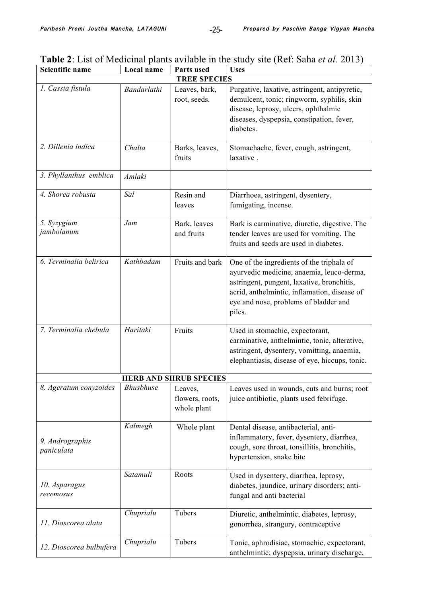| <b>Scientific name</b>        | Local name       | Parts used                                | <b>Uses</b>                                                                                                                                                                                                                             |  |
|-------------------------------|------------------|-------------------------------------------|-----------------------------------------------------------------------------------------------------------------------------------------------------------------------------------------------------------------------------------------|--|
| <b>TREE SPECIES</b>           |                  |                                           |                                                                                                                                                                                                                                         |  |
| 1. Cassia fistula             | Bandarlathi      | Leaves, bark,<br>root, seeds.             | Purgative, laxative, astringent, antipyretic,<br>demulcent, tonic; ringworm, syphilis, skin<br>disease, leprosy, ulcers, ophthalmic<br>diseases, dyspepsia, constipation, fever,<br>diabetes.                                           |  |
| 2. Dillenia indica            | Chalta           | Barks, leaves,<br>fruits                  | Stomachache, fever, cough, astringent,<br>laxative.                                                                                                                                                                                     |  |
| 3. Phyllanthus emblica        | Amlaki           |                                           |                                                                                                                                                                                                                                         |  |
| 4. Shorea robusta             | Sal              | Resin and<br>leaves                       | Diarrhoea, astringent, dysentery,<br>fumigating, incense.                                                                                                                                                                               |  |
| 5. Syzygium<br>jambolanum     | Jam              | Bark, leaves<br>and fruits                | Bark is carminative, diuretic, digestive. The<br>tender leaves are used for vomiting. The<br>fruits and seeds are used in diabetes.                                                                                                     |  |
| 6. Terminalia belirica        | Kathbadam        | Fruits and bark                           | One of the ingredients of the triphala of<br>ayurvedic medicine, anaemia, leuco-derma,<br>astringent, pungent, laxative, bronchitis,<br>acrid, anthelmintic, inflamation, disease of<br>eye and nose, problems of bladder and<br>piles. |  |
| 7. Terminalia chebula         | Haritaki         | Fruits                                    | Used in stomachic, expectorant,<br>carminative, anthelmintic, tonic, alterative,<br>astringent, dysentery, vomitting, anaemia,<br>elephantiasis, disease of eye, hiccups, tonic.                                                        |  |
|                               |                  | <b>HERB AND SHRUB SPECIES</b>             |                                                                                                                                                                                                                                         |  |
| 8. Ageratum conyzoides        | <b>Bhusbhuse</b> | Leaves,<br>flowers, roots,<br>whole plant | Leaves used in wounds, cuts and burns; root<br>juice antibiotic, plants used febrifuge.                                                                                                                                                 |  |
| 9. Andrographis<br>paniculata | Kalmegh          | Whole plant                               | Dental disease, antibacterial, anti-<br>inflammatory, fever, dysentery, diarrhea,<br>cough, sore throat, tonsillitis, bronchitis,<br>hypertension, snake bite                                                                           |  |
| 10. Asparagus<br>recemosus    | Satamuli         | Roots                                     | Used in dysentery, diarrhea, leprosy,<br>diabetes, jaundice, urinary disorders; anti-<br>fungal and anti bacterial                                                                                                                      |  |
| 11. Dioscorea alata           | Chuprialu        | Tubers                                    | Diuretic, anthelmintic, diabetes, leprosy,<br>gonorrhea, strangury, contraceptive                                                                                                                                                       |  |
| 12. Dioscorea bulbufera       | Chuprialu        | Tubers                                    | Tonic, aphrodisiac, stomachic, expectorant,<br>anthelmintic; dyspepsia, urinary discharge,                                                                                                                                              |  |

**Table 2**: List of Medicinal plants avilable in the study site (Ref: Saha *et al.* 2013)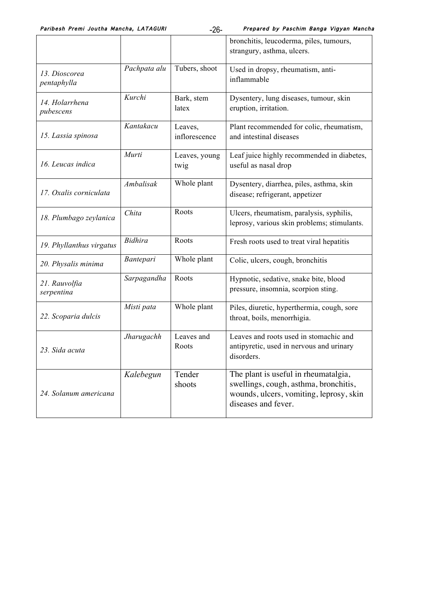Paribesh Premi Joutha Mancha, LATAGURI Panga Prepared by Paschim Banga Vigyan Mancha

|                              |                |                          | bronchitis, leucoderma, piles, tumours,<br>strangury, asthma, ulcers.                                                                           |
|------------------------------|----------------|--------------------------|-------------------------------------------------------------------------------------------------------------------------------------------------|
| 13. Dioscorea<br>pentaphylla | Pachpata alu   | Tubers, shoot            | Used in dropsy, rheumatism, anti-<br>inflammable                                                                                                |
| 14. Holarrhena<br>pubescens  | Kurchi         | Bark, stem<br>latex      | Dysentery, lung diseases, tumour, skin<br>eruption, irritation.                                                                                 |
| 15. Lassia spinosa           | Kantakacu      | Leaves,<br>inflorescence | Plant recommended for colic, rheumatism,<br>and intestinal diseases                                                                             |
| 16. Leucas indica            | Murti          | Leaves, young<br>twig    | Leaf juice highly recommended in diabetes,<br>useful as nasal drop                                                                              |
| 17. Oxalis corniculata       | Ambalisak      | Whole plant              | Dysentery, diarrhea, piles, asthma, skin<br>disease; refrigerant, appetizer                                                                     |
| 18. Plumbago zeylanica       | Chita          | Roots                    | Ulcers, rheumatism, paralysis, syphilis,<br>leprosy, various skin problems; stimulants.                                                         |
| 19. Phyllanthus virgatus     | <b>Bidhira</b> | Roots                    | Fresh roots used to treat viral hepatitis                                                                                                       |
| 20. Physalis minima          | Bantepari      | Whole plant              | Colic, ulcers, cough, bronchitis                                                                                                                |
| 21. Rauvolfia<br>serpentina  | Sarpagandha    | Roots                    | Hypnotic, sedative, snake bite, blood<br>pressure, insomnia, scorpion sting.                                                                    |
| 22. Scoparia dulcis          | Misti pata     | Whole plant              | Piles, diuretic, hyperthermia, cough, sore<br>throat, boils, menorrhigia.                                                                       |
| 23. Sida acuta               | Jharugachh     | Leaves and<br>Roots      | Leaves and roots used in stomachic and<br>antipyretic, used in nervous and urinary<br>disorders.                                                |
| 24. Solanum americana        | Kalebegun      | Tender<br>shoots         | The plant is useful in rheumatalgia,<br>swellings, cough, asthma, bronchitis,<br>wounds, ulcers, vomiting, leprosy, skin<br>diseases and fever. |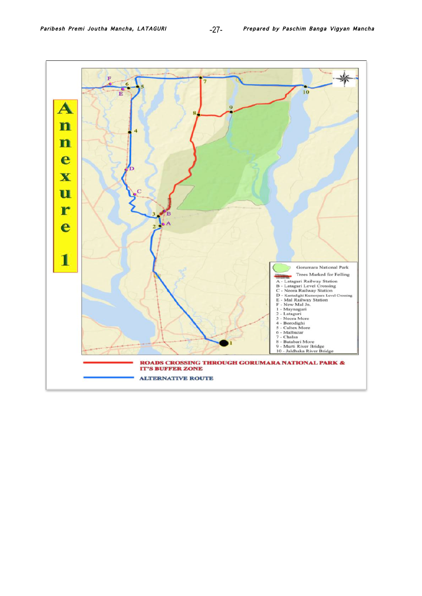